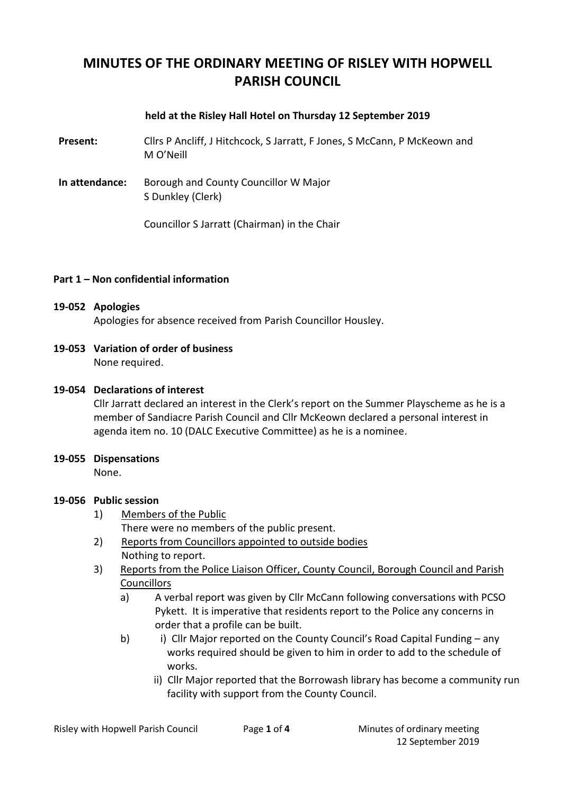# **MINUTES OF THE ORDINARY MEETING OF RISLEY WITH HOPWELL PARISH COUNCIL**

### **held at the Risley Hall Hotel on Thursday 12 September 2019**

**Present:** Cllrs P Ancliff, J Hitchcock, S Jarratt, F Jones, S McCann, P McKeown and M O'Neill

**In attendance:** Borough and County Councillor W Major S Dunkley (Clerk)

Councillor S Jarratt (Chairman) in the Chair

### **Part 1 – Non confidential information**

#### **19-052 Apologies**

Apologies for absence received from Parish Councillor Housley.

**19-053 Variation of order of business**

None required.

### **19-054 Declarations of interest**

Cllr Jarratt declared an interest in the Clerk's report on the Summer Playscheme as he is a member of Sandiacre Parish Council and Cllr McKeown declared a personal interest in agenda item no. 10 (DALC Executive Committee) as he is a nominee.

#### **19-055 Dispensations**

None.

#### **19-056 Public session**

1) Members of the Public

There were no members of the public present.

- 2) Reports from Councillors appointed to outside bodies Nothing to report.
- 3) Reports from the Police Liaison Officer, County Council, Borough Council and Parish Councillors
	- a) A verbal report was given by Cllr McCann following conversations with PCSO Pykett. It is imperative that residents report to the Police any concerns in order that a profile can be built.
	- b) i) Cllr Major reported on the County Council's Road Capital Funding any works required should be given to him in order to add to the schedule of works.
		- ii) Cllr Major reported that the Borrowash library has become a community run facility with support from the County Council.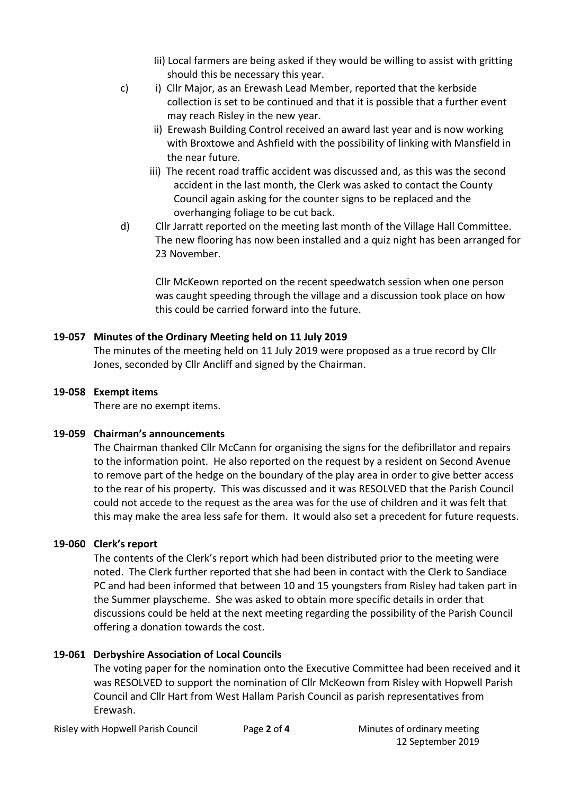- Iii) Local farmers are being asked if they would be willing to assist with gritting should this be necessary this year.
- c) i) Cllr Major, as an Erewash Lead Member, reported that the kerbside collection is set to be continued and that it is possible that a further event may reach Risley in the new year.
	- ii) Erewash Building Control received an award last year and is now working with Broxtowe and Ashfield with the possibility of linking with Mansfield in the near future.
	- iii) The recent road traffic accident was discussed and, as this was the second accident in the last month, the Clerk was asked to contact the County Council again asking for the counter signs to be replaced and the overhanging foliage to be cut back.
- d) Cllr Jarratt reported on the meeting last month of the Village Hall Committee. The new flooring has now been installed and a quiz night has been arranged for 23 November.

Cllr McKeown reported on the recent speedwatch session when one person was caught speeding through the village and a discussion took place on how this could be carried forward into the future.

# **19-057 Minutes of the Ordinary Meeting held on 11 July 2019**

The minutes of the meeting held on 11 July 2019 were proposed as a true record by Cllr Jones, seconded by Cllr Ancliff and signed by the Chairman.

## **19-058 Exempt items**

There are no exempt items.

# **19-059 Chairman's announcements**

The Chairman thanked Cllr McCann for organising the signs for the defibrillator and repairs to the information point. He also reported on the request by a resident on Second Avenue to remove part of the hedge on the boundary of the play area in order to give better access to the rear of his property. This was discussed and it was RESOLVED that the Parish Council could not accede to the request as the area was for the use of children and it was felt that this may make the area less safe for them. It would also set a precedent for future requests.

# **19-060 Clerk's report**

The contents of the Clerk's report which had been distributed prior to the meeting were noted. The Clerk further reported that she had been in contact with the Clerk to Sandiace PC and had been informed that between 10 and 15 youngsters from Risley had taken part in the Summer playscheme. She was asked to obtain more specific details in order that discussions could be held at the next meeting regarding the possibility of the Parish Council offering a donation towards the cost.

# **19-061 Derbyshire Association of Local Councils**

The voting paper for the nomination onto the Executive Committee had been received and it was RESOLVED to support the nomination of Cllr McKeown from Risley with Hopwell Parish Council and Cllr Hart from West Hallam Parish Council as parish representatives from Erewash.

Risley with Hopwell Parish Council Page **2** of **4** Minutes of ordinary meeting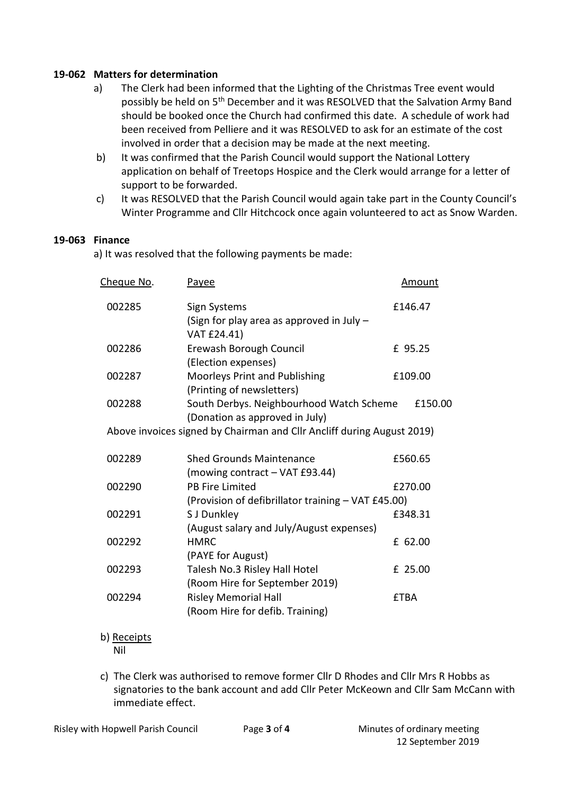### **19-062 Matters for determination**

- a) The Clerk had been informed that the Lighting of the Christmas Tree event would possibly be held on 5th December and it was RESOLVED that the Salvation Army Band should be booked once the Church had confirmed this date. A schedule of work had been received from Pelliere and it was RESOLVED to ask for an estimate of the cost involved in order that a decision may be made at the next meeting.
- b) It was confirmed that the Parish Council would support the National Lottery application on behalf of Treetops Hospice and the Clerk would arrange for a letter of support to be forwarded.
- c) It was RESOLVED that the Parish Council would again take part in the County Council's Winter Programme and Cllr Hitchcock once again volunteered to act as Snow Warden.

### **19-063 Finance**

a) It was resolved that the following payments be made:

| <u>Cheque No</u> .                                                     | Payee                                              | <u>Amount</u> |         |  |
|------------------------------------------------------------------------|----------------------------------------------------|---------------|---------|--|
| 002285                                                                 | Sign Systems                                       | £146.47       |         |  |
|                                                                        | (Sign for play area as approved in July -          |               |         |  |
|                                                                        | VAT £24.41)                                        |               |         |  |
| 002286                                                                 | Erewash Borough Council                            | £ 95.25       |         |  |
|                                                                        | (Election expenses)                                |               |         |  |
| 002287                                                                 | Moorleys Print and Publishing                      | £109.00       |         |  |
|                                                                        | (Printing of newsletters)                          |               |         |  |
| 002288                                                                 | South Derbys. Neighbourhood Watch Scheme           | £150.00       |         |  |
|                                                                        | (Donation as approved in July)                     |               |         |  |
| Above invoices signed by Chairman and Cllr Ancliff during August 2019) |                                                    |               |         |  |
| 002289                                                                 | <b>Shed Grounds Maintenance</b>                    |               | £560.65 |  |
|                                                                        | (mowing contract - VAT £93.44)                     |               |         |  |
| 002290                                                                 | <b>PB Fire Limited</b>                             |               | £270.00 |  |
|                                                                        | (Provision of defibrillator training - VAT £45.00) |               |         |  |
| 002291                                                                 | S J Dunkley                                        |               | £348.31 |  |
|                                                                        | (August salary and July/August expenses)           |               |         |  |
| 002292                                                                 | <b>HMRC</b>                                        |               | £ 62.00 |  |
|                                                                        | (PAYE for August)                                  |               |         |  |
| 002293                                                                 | Talesh No.3 Risley Hall Hotel                      |               | £ 25.00 |  |
|                                                                        | (Room Hire for September 2019)                     |               |         |  |
| 002294                                                                 | <b>Risley Memorial Hall</b>                        | <b>£TBA</b>   |         |  |
|                                                                        | (Room Hire for defib. Training)                    |               |         |  |
|                                                                        |                                                    |               |         |  |

b) Receipts

Nil

c) The Clerk was authorised to remove former Cllr D Rhodes and Cllr Mrs R Hobbs as signatories to the bank account and add Cllr Peter McKeown and Cllr Sam McCann with immediate effect.